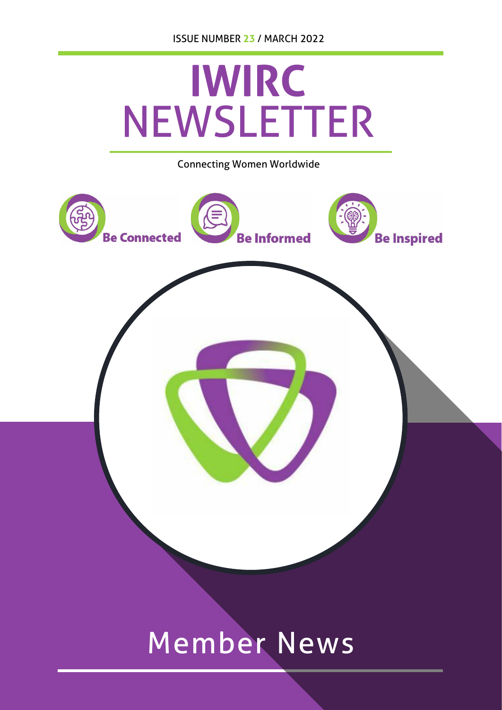

## Member News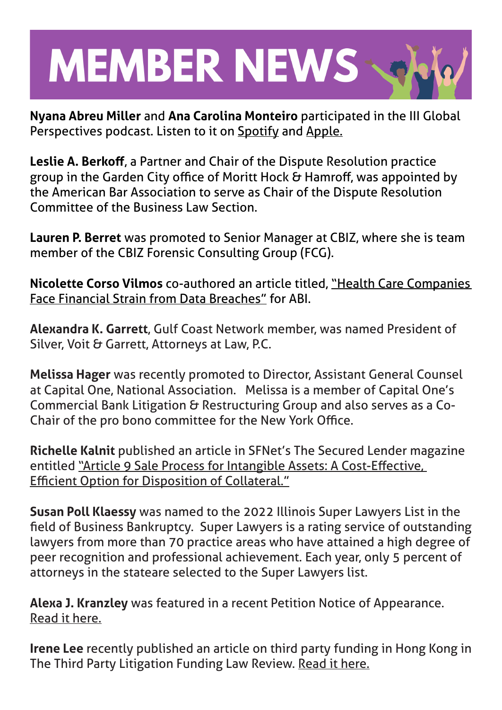## **MEMBER NEWS**

**Nyana Abreu Miller** and **Ana Carolina Monteiro** participated in the III Global Perspectives podcast. Listen to it on Spotify and Apple.

**Leslie A. Berkoff**, a Partner and Chair of the Dispute Resolution practice group in the Garden City office of Moritt Hock & Hamroff, was appointed by the American Bar Association to serve as Chair of the Dispute Resolution Committee of the Business Law Section.

**Lauren P. Berret** was promoted to Senior Manager at CBIZ, where she is team member of the CBIZ Forensic Consulting Group (FCG).

**Nicolette Corso Vilmos** co-authored an article titled, "Health Care Companies Face Financial Strain from Data Breaches" for ABI.

**Alexandra K. Garrett**, Gulf Coast Network member, was named President of Silver, Voit & Garrett, Attorneys at Law, P.C.

**Melissa Hager** was recently promoted to Director, Assistant General Counsel at Capital One, National Association. Melissa is a member of Capital One's Commercial Bank Litigation & Restructuring Group and also serves as a Co-Chair of the pro bono committee for the New York Office.

**Richelle Kalnit** published an article in SFNet's The Secured Lender magazine entitled "Article 9 Sale Process for Intangible Assets: A Cost-Effective, Efficient Option for Disposition of Collateral."

**Susan Poll Klaessy** was named to the 2022 Illinois Super Lawyers List in the field of Business Bankruptcy. Super Lawyers is a rating service of outstanding lawyers from more than 70 practice areas who have attained a high degree of peer recognition and professional achievement. Each year, only 5 percent of attorneys in the stateare selected to the Super Lawyers list.

**Alexa J. Kranzley** was featured in a recent Petition Notice of Appearance. Read it here.

**Irene Lee** recently published an article on third party funding in Hong Kong in The Third Party Litigation Funding Law Review. Read it here.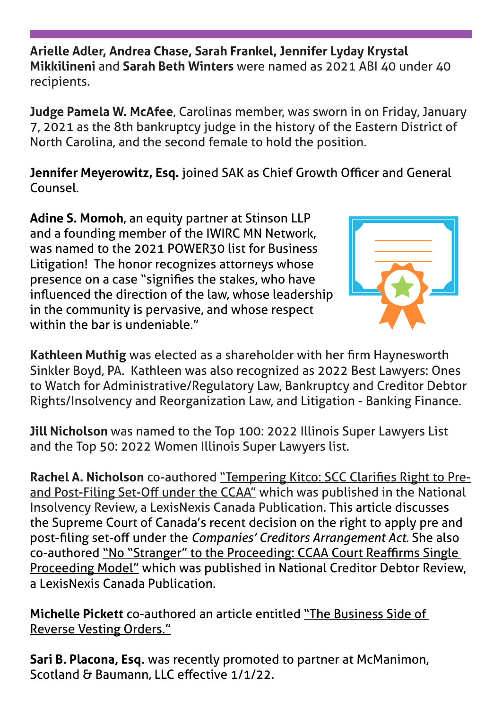**Arielle Adler, Andrea Chase, Sarah Frankel, Jennifer Lyday Krystal Mikkilineni** and **Sarah Beth Winters** were named as 2021 ABI 40 under 40 recipients.

**Judge Pamela W. McAfee**, Carolinas member, was sworn in on Friday, January 7, 2021 as the 8th bankruptcy judge in the history of the Eastern District of North Carolina, and the second female to hold the position.

**Jennifer Meyerowitz, Esq.** joined SAK as Chief Growth Officer and General Counsel.

**Adine S. Momoh**, an equity partner at Stinson LLP and a founding member of the IWIRC MN Network, was named to the 2021 POWER30 list for Business Litigation! The honor recognizes attorneys whose presence on a case "signifies the stakes, who have influenced the direction of the law, whose leadership in the community is pervasive, and whose respect within the bar is undeniable."



**Kathleen Muthig** was elected as a shareholder with her firm Haynesworth Sinkler Boyd, PA. Kathleen was also recognized as 2022 Best Lawyers: Ones to Watch for Administrative/Regulatory Law, Bankruptcy and Creditor Debtor Rights/Insolvency and Reorganization Law, and Litigation - Banking Finance.

**Jill Nicholson** was named to the Top 100: 2022 Illinois Super Lawyers List and the Top 50: 2022 Women Illinois Super Lawyers list.

**Rachel A. Nicholson** co-authored "Tempering Kitco: SCC Clarifies Right to Preand Post-Filing Set-Off under the CCAA" which was published in the National Insolvency Review, a LexisNexis Canada Publication. This article discusses the Supreme Court of Canada's recent decision on the right to apply pre and post-filing set-off under the *Companies' Creditors Arrangement Act.* She also co-authored "No "Stranger" to the Proceeding: CCAA Court Reaffirms Single Proceeding Model" which was published in National Creditor Debtor Review, a LexisNexis Canada Publication.

**Michelle Pickett** co-authored an article entitled "The Business Side of Reverse Vesting Orders."

**Sari B. Placona, Esq.** was recently promoted to partner at McManimon, Scotland & Baumann, LLC effective 1/1/22.